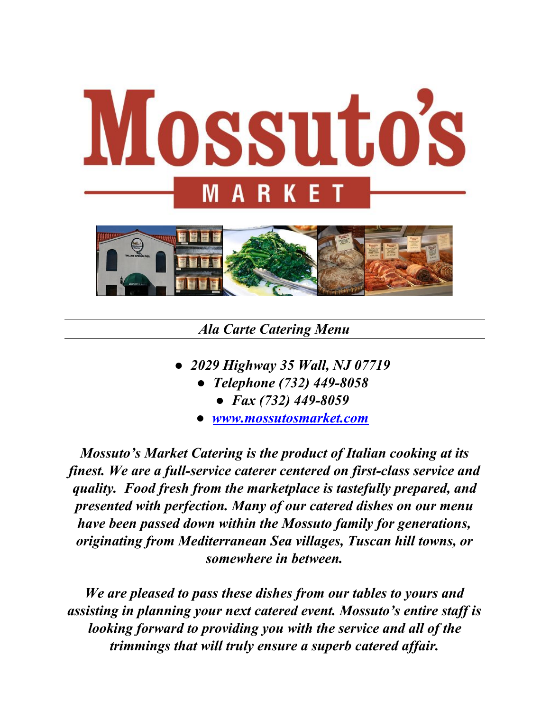

## *Ala Carte Catering Menu*

- *2029 Highway 35 Wall, NJ 07719*
	- *Telephone (732) 449-8058*
		- *Fax (732) 449-8059*
	- *[www.mossutosmarket.com](http://www.mossutosmarket.com/)*

*Mossuto's Market Catering is the product of Italian cooking at its finest. We are a full-service caterer centered on first-class service and quality. Food fresh from the marketplace is tastefully prepared, and presented with perfection. Many of our catered dishes on our menu have been passed down within the Mossuto family for generations, originating from Mediterranean Sea villages, Tuscan hill towns, or somewhere in between.*

*We are pleased to pass these dishes from our tables to yours and assisting in planning your next catered event. Mossuto's entire staf is looking forward to providing you with the service and all of the trimmings that will truly ensure a superb catered af air.*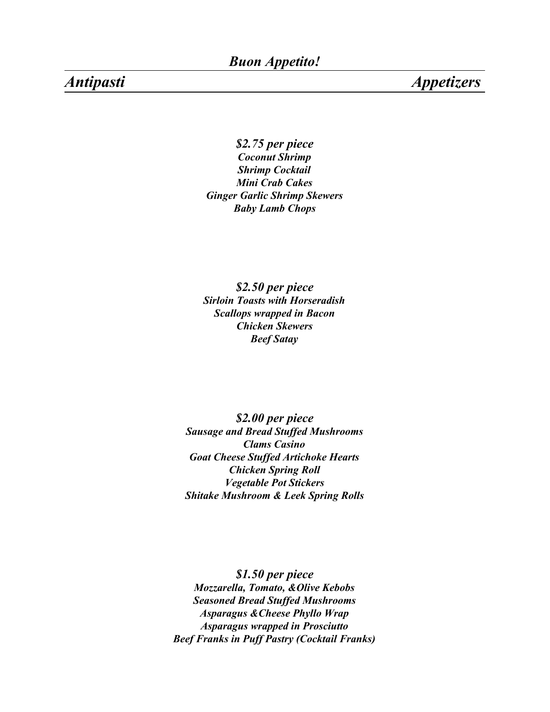*Antipasti Appetizers*

*\$2.75 per piece Coconut Shrimp Shrimp Cocktail Mini Crab Cakes Ginger Garlic Shrimp Skewers Baby Lamb Chops*

*\$2.50 per piece Sirloin Toasts with Horseradish Scallops wrapped in Bacon Chicken Skewers Beef Satay*

*\$2.00 per piece Sausage and Bread Stuffed Mushrooms Clams Casino Goat Cheese Stuffed Artichoke Hearts Chicken Spring Roll Vegetable Pot Stickers Shitake Mushroom & Leek Spring Rolls*

*\$1.50 per piece Mozzarella, Tomato, &Olive Kebobs Seasoned Bread Stuffed Mushrooms Asparagus &Cheese Phyllo Wrap Asparagus wrapped in Prosciutto Beef Franks in Puff Pastry (Cocktail Franks)*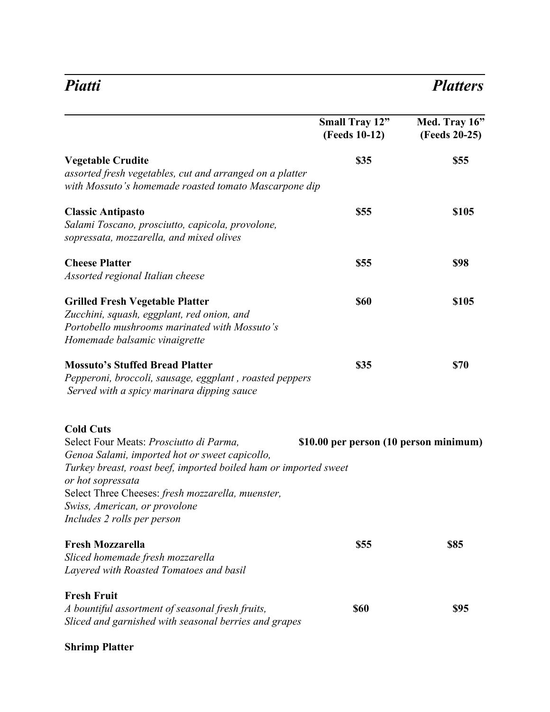## *Piatti Platters*

|                                                                                                                                                                                                                                                                                                                             | <b>Small Tray 12"</b><br>(Feeds 10-12) | Med. Tray 16"<br>(Feeds 20-25) |
|-----------------------------------------------------------------------------------------------------------------------------------------------------------------------------------------------------------------------------------------------------------------------------------------------------------------------------|----------------------------------------|--------------------------------|
| <b>Vegetable Crudite</b><br>assorted fresh vegetables, cut and arranged on a platter<br>with Mossuto's homemade roasted tomato Mascarpone dip                                                                                                                                                                               | <b>\$35</b>                            | \$55                           |
| <b>Classic Antipasto</b><br>Salami Toscano, prosciutto, capicola, provolone,<br>sopressata, mozzarella, and mixed olives                                                                                                                                                                                                    | <b>\$55</b>                            | \$105                          |
| <b>Cheese Platter</b><br>Assorted regional Italian cheese                                                                                                                                                                                                                                                                   | \$55                                   | \$98                           |
| <b>Grilled Fresh Vegetable Platter</b><br>Zucchini, squash, eggplant, red onion, and<br>Portobello mushrooms marinated with Mossuto's<br>Homemade balsamic vinaigrette                                                                                                                                                      | <b>\$60</b>                            | \$105                          |
| <b>Mossuto's Stuffed Bread Platter</b><br>Pepperoni, broccoli, sausage, eggplant, roasted peppers<br>Served with a spicy marinara dipping sauce                                                                                                                                                                             | \$35                                   | \$70                           |
| <b>Cold Cuts</b><br>Select Four Meats: Prosciutto di Parma,<br>Genoa Salami, imported hot or sweet capicollo,<br>Turkey breast, roast beef, imported boiled ham or imported sweet<br>or hot sopressata<br>Select Three Cheeses: fresh mozzarella, muenster,<br>Swiss, American, or provolone<br>Includes 2 rolls per person | \$10.00 per person (10 person minimum) |                                |
| <b>Fresh Mozzarella</b><br>Sliced homemade fresh mozzarella<br>Layered with Roasted Tomatoes and basil                                                                                                                                                                                                                      | <b>\$55</b>                            | \$85                           |
| <b>Fresh Fruit</b><br>A bountiful assortment of seasonal fresh fruits,<br>Sliced and garnished with seasonal berries and grapes                                                                                                                                                                                             | <b>\$60</b>                            | \$95                           |

### **Shrimp Platter**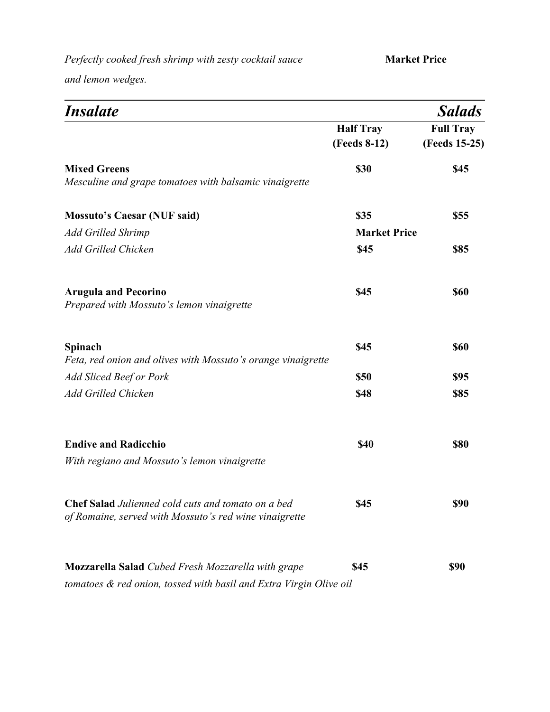*Perfectly cooked fresh shrimp with zesty cocktail sauce* **Market Price** 

*and lemon wedges.*

| <i><b>Insalate</b></i>                                                                                              |                     | <b>Salads</b>    |
|---------------------------------------------------------------------------------------------------------------------|---------------------|------------------|
|                                                                                                                     | <b>Half Tray</b>    | <b>Full Tray</b> |
|                                                                                                                     | (Feeds 8-12)        | (Feeds 15-25)    |
| <b>Mixed Greens</b><br>Mesculine and grape tomatoes with balsamic vinaigrette                                       | \$30                | \$45             |
| <b>Mossuto's Caesar (NUF said)</b>                                                                                  | \$35                | \$55             |
| <b>Add Grilled Shrimp</b>                                                                                           | <b>Market Price</b> |                  |
| <b>Add Grilled Chicken</b>                                                                                          | \$45                | <b>\$85</b>      |
| <b>Arugula and Pecorino</b><br>Prepared with Mossuto's lemon vinaigrette                                            | \$45                | <b>\$60</b>      |
| Spinach<br>Feta, red onion and olives with Mossuto's orange vinaigrette                                             | \$45                | <b>\$60</b>      |
| <b>Add Sliced Beef or Pork</b>                                                                                      | \$50                | <b>\$95</b>      |
| <b>Add Grilled Chicken</b>                                                                                          | \$48                | \$85             |
| <b>Endive and Radicchio</b>                                                                                         | <b>\$40</b>         | <b>\$80</b>      |
| With regiano and Mossuto's lemon vinaigrette                                                                        |                     |                  |
| <b>Chef Salad</b> Julienned cold cuts and tomato on a bed<br>of Romaine, served with Mossuto's red wine vinaigrette | \$45                | \$90             |
| <b>Mozzarella Salad</b> Cubed Fresh Mozzarella with grape                                                           | \$45                | <b>\$90</b>      |
| tomatoes & red onion, tossed with basil and Extra Virgin Olive oil                                                  |                     |                  |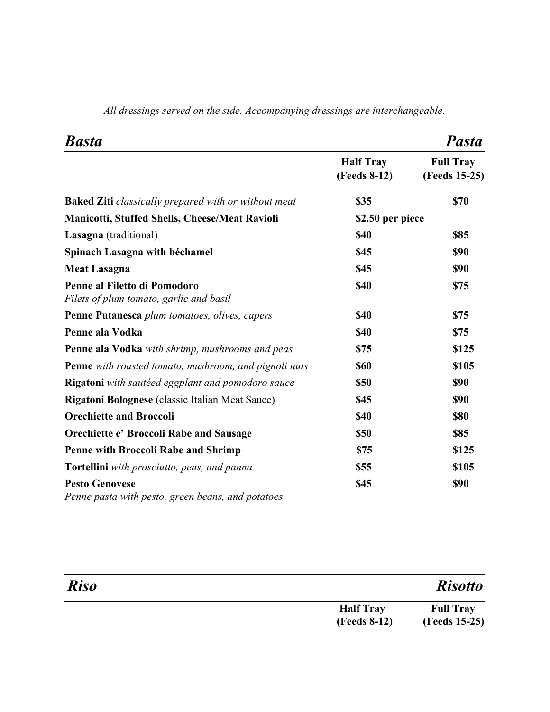| <b>Basta</b>                                                               |                                  | <b>Pasta</b>                      |
|----------------------------------------------------------------------------|----------------------------------|-----------------------------------|
|                                                                            | <b>Half Tray</b><br>(Feeds 8-12) | <b>Full Tray</b><br>(Feeds 15-25) |
| <b>Baked Ziti</b> classically prepared with or without meat                | \$35                             | <b>\$70</b>                       |
| <b>Manicotti, Stuffed Shells, Cheese/Meat Ravioli</b>                      | \$2.50 per piece                 |                                   |
| Lasagna (traditional)                                                      | \$40                             | <b>\$85</b>                       |
| Spinach Lasagna with béchamel                                              | \$45                             | <b>\$90</b>                       |
| <b>Meat Lasagna</b>                                                        | \$45                             | <b>\$90</b>                       |
| Penne al Filetto di Pomodoro<br>Filets of plum tomato, garlic and basil    | <b>\$40</b>                      | \$75                              |
| Penne Putanesca plum tomatoes, olives, capers                              | \$40                             | \$75                              |
| Penne ala Vodka                                                            | \$40                             | \$75                              |
| Penne ala Vodka with shrimp, mushrooms and peas                            | \$75                             | \$125                             |
| Penne with roasted tomato, mushroom, and pignoli nuts                      | <b>\$60</b>                      | \$105                             |
| Rigatoni with sautéed eggplant and pomodoro sauce                          | \$50                             | <b>\$90</b>                       |
| <b>Rigatoni Bolognese</b> (classic Italian Meat Sauce)                     | \$45                             | <b>\$90</b>                       |
| <b>Orechiette and Broccoli</b>                                             | \$40                             | <b>\$80</b>                       |
| <b>Orechiette e' Broccoli Rabe and Sausage</b>                             | \$50                             | <b>\$85</b>                       |
| <b>Penne with Broccoli Rabe and Shrimp</b>                                 | <b>\$75</b>                      | \$125                             |
| Tortellini with prosciutto, peas, and panna                                | \$55                             | \$105                             |
| <b>Pesto Genovese</b><br>Penne pasta with pesto, green beans, and potatoes | \$45                             | <b>\$90</b>                       |

*All dressings served on the side. Accompanying dressings are interchangeable.*

| <b>Riso</b> |                     | <b>Risotto</b>   |
|-------------|---------------------|------------------|
|             | <b>Half Tray</b>    | <b>Full Tray</b> |
|             | <b>(Feeds 8-12)</b> | (Feeds 15-25)    |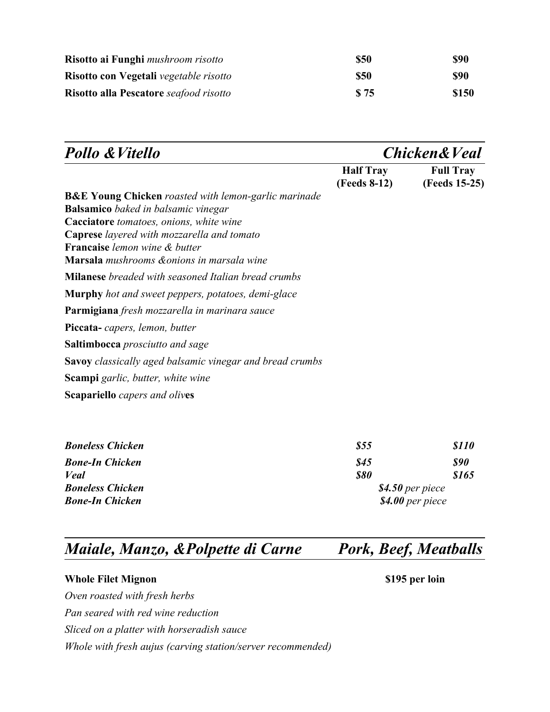| Risotto ai Funghi mushroom risotto     | \$50 | <b>\$90</b> |
|----------------------------------------|------|-------------|
| Risotto con Vegetali vegetable risotto | \$50 | <b>\$90</b> |
| Risotto alla Pescatore seafood risotto | \$75 | \$150       |

| <b>Pollo &amp; Vitello</b>                                                         | <b>Chicken &amp; Veal</b>        |                                   |
|------------------------------------------------------------------------------------|----------------------------------|-----------------------------------|
| <b>B&amp;E Young Chicken</b> roasted with lemon-garlic marinade                    | <b>Half Tray</b><br>(Feeds 8-12) | <b>Full Tray</b><br>(Feeds 15-25) |
| <b>Balsamico</b> baked in balsamic vinegar                                         |                                  |                                   |
| Cacciatore tomatoes, onions, white wine                                            |                                  |                                   |
| <b>Caprese</b> layered with mozzarella and tomato                                  |                                  |                                   |
| <b>Française</b> lemon wine & butter<br>Marsala mushrooms & onions in marsala wine |                                  |                                   |
| <b>Milanese</b> breaded with seasoned Italian bread crumbs                         |                                  |                                   |
| <b>Murphy</b> hot and sweet peppers, potatoes, demi-glace                          |                                  |                                   |
| <b>Parmigiana</b> fresh mozzarella in marinara sauce                               |                                  |                                   |
| <b>Piccata-</b> capers, lemon, butter                                              |                                  |                                   |
| <b>Saltimbocca</b> prosciutto and sage                                             |                                  |                                   |
| <b>Savoy</b> classically aged balsamic vinegar and bread crumbs                    |                                  |                                   |
| <b>Scampi</b> garlic, butter, white wine                                           |                                  |                                   |
| <b>Scapariello</b> capers and olives                                               |                                  |                                   |
| <b>Boneless Chicken</b>                                                            | \$55                             | <i><b>S110</b></i>                |

| DUNCHUS CHICKCH         | <i>ພບ</i>         | <i>w x x v</i> |
|-------------------------|-------------------|----------------|
| <b>Bone-In Chicken</b>  | 845               | \$90           |
| <b>Veal</b>             | <b>\$80</b>       | \$165          |
| <b>Boneless Chicken</b> | $$4.50$ per piece |                |
| <b>Bone-In Chicken</b>  | $$4.00$ per piece |                |
|                         |                   |                |

# *Maiale, Manzo, &Polpette di Carne Pork, Beef, Meatballs*

### **Whole Filet Mignon** \$195 per loin

*Oven roasted with fresh herbs*

*Pan seared with red wine reduction*

*Sliced on a platter with horseradish sauce*

*Whole with fresh aujus (carving station/server recommended)*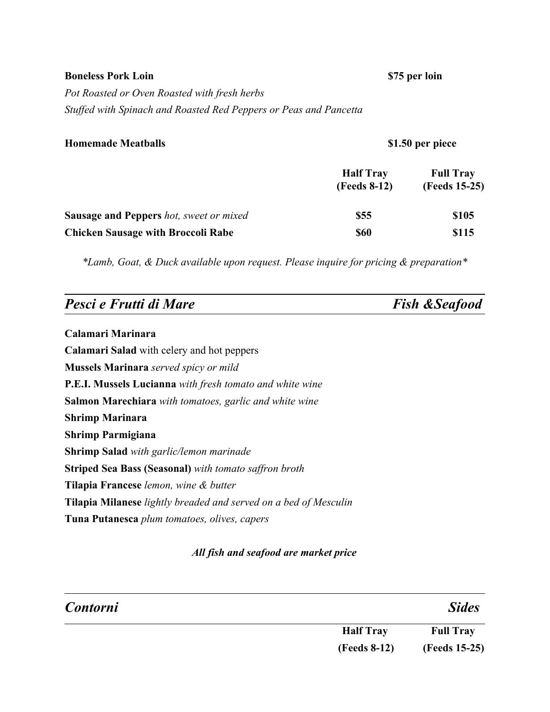### **Boneless Pork Loin \$75 per loin**

*Pot Roasted or Oven Roasted with fresh herbs Stuffed with Spinach and Roasted Red Peppers or Peas and Pancetta*

### **Homemade Meatballs \$1.50 per piece**

|                                                | <b>Half Tray</b><br>(Feeds 8-12) | <b>Full Tray</b><br>(Feeds 15-25) |
|------------------------------------------------|----------------------------------|-----------------------------------|
| <b>Sausage and Peppers</b> hot, sweet or mixed | \$55                             | \$105                             |
| <b>Chicken Sausage with Broccoli Rabe</b>      | <b>\$60</b>                      | \$115                             |

*\*Lamb, Goat, & Duck available upon request. Please inquire for pricing & preparation\**

| Pesci e Frutti di Mare | <b>Fish &amp;Seafood</b> |
|------------------------|--------------------------|
|                        |                          |

**Calamari Marinara Calamari Salad** with celery and hot peppers **Mussels Marinara** *served spicy or mild* **P.E.I. Mussels Lucianna** *with fresh tomato and white wine* **Salmon Marechiara** *with tomatoes, garlic and white wine* **Shrimp Marinara Shrimp Parmigiana Shrimp Salad** *with garlic/lemon marinade* **Striped Sea Bass (Seasonal)** *with tomato saffron broth* **Tilapia Francese** *lemon, wine & butter* **Tilapia Milanese** *lightly breaded and served on a bed of Mesculin* **Tuna Putanesca** *plum tomatoes, olives, capers*

### *All fish and seafood are market price*

| <b>Contorni</b> |                     | <b>Sides</b>     |
|-----------------|---------------------|------------------|
|                 | <b>Half Tray</b>    | <b>Full Tray</b> |
|                 | <b>(Feeds 8-12)</b> | (Feeds 15-25)    |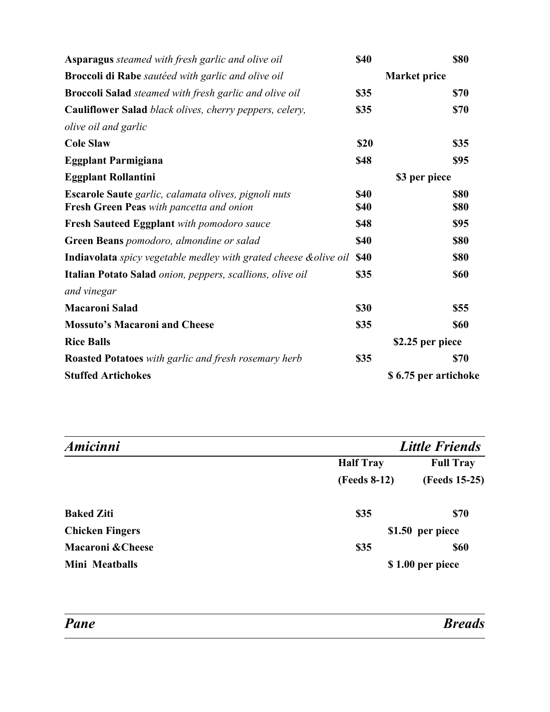| <b>Asparagus</b> steamed with fresh garlic and olive oil                                                | \$40                       | <b>\$80</b>          |
|---------------------------------------------------------------------------------------------------------|----------------------------|----------------------|
| <b>Broccoli di Rabe</b> sautéed with garlic and olive oil                                               |                            | <b>Market price</b>  |
| <b>Broccoli Salad</b> steamed with fresh garlic and olive oil                                           | \$35                       | <b>\$70</b>          |
| Cauliflower Salad black olives, cherry peppers, celery,                                                 | \$35                       | \$70                 |
| olive oil and garlic                                                                                    |                            |                      |
| <b>Cole Slaw</b>                                                                                        | \$20                       | \$35                 |
| <b>Eggplant Parmigiana</b>                                                                              | \$48                       | <b>\$95</b>          |
| <b>Eggplant Rollantini</b>                                                                              |                            | \$3 per piece        |
| Escarole Saute garlic, calamata olives, pignoli nuts<br><b>Fresh Green Peas</b> with pancetta and onion | <b>\$40</b><br><b>\$40</b> | \$80<br><b>\$80</b>  |
| Fresh Sauteed Eggplant with pomodoro sauce                                                              | \$48                       | <b>\$95</b>          |
| Green Beans pomodoro, almondine or salad                                                                | <b>\$40</b>                | <b>\$80</b>          |
| <b>Indiavolata</b> spicy vegetable medley with grated cheese & olive oil                                | <b>\$40</b>                | <b>\$80</b>          |
| Italian Potato Salad onion, peppers, scallions, olive oil                                               | \$35                       | <b>\$60</b>          |
| and vinegar                                                                                             |                            |                      |
| <b>Macaroni Salad</b>                                                                                   | \$30                       | \$55                 |
| <b>Mossuto's Macaroni and Cheese</b>                                                                    | \$35                       | <b>\$60</b>          |
| <b>Rice Balls</b>                                                                                       |                            | \$2.25 per piece     |
| Roasted Potatoes with garlic and fresh rosemary herb                                                    | \$35                       | <b>\$70</b>          |
| <b>Stuffed Artichokes</b>                                                                               |                            | \$6.75 per artichoke |

| Amicinni                     |                  | <b>Little Friends</b> |
|------------------------------|------------------|-----------------------|
|                              | <b>Half Tray</b> | <b>Full Tray</b>      |
|                              | (Feeds 8-12)     | (Feeds 15-25)         |
| <b>Baked Ziti</b>            | \$35             | <b>\$70</b>           |
| <b>Chicken Fingers</b>       |                  | \$1.50 per piece      |
| <b>Macaroni &amp; Cheese</b> | \$35             | <b>\$60</b>           |
| Mini Meatballs               |                  | \$1.00 per piece      |

*Breads*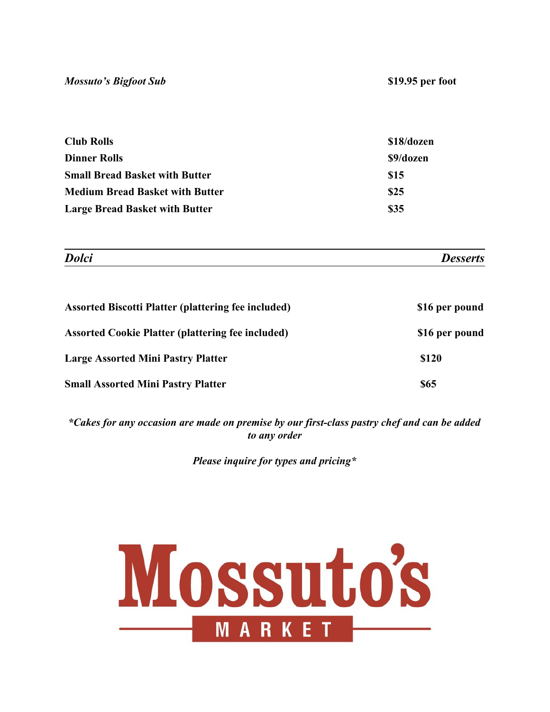| <b>Club Rolls</b>                      | \$18/dozen |
|----------------------------------------|------------|
| <b>Dinner Rolls</b>                    | \$9/dozen  |
| <b>Small Bread Basket with Butter</b>  | \$15       |
| <b>Medium Bread Basket with Butter</b> | \$25       |
| <b>Large Bread Basket with Butter</b>  | \$35       |

| <b>Assorted Biscotti Platter (plattering fee included)</b> | \$16 per pound |
|------------------------------------------------------------|----------------|
| <b>Assorted Cookie Platter (plattering fee included)</b>   | \$16 per pound |
| <b>Large Assorted Mini Pastry Platter</b>                  | \$120          |
| <b>Small Assorted Mini Pastry Platter</b>                  | <b>\$65</b>    |

*\*Cakes for any occasion are made on premise by our first-class pastry chef and can be added to any order*

*Please inquire for types and pricing\**